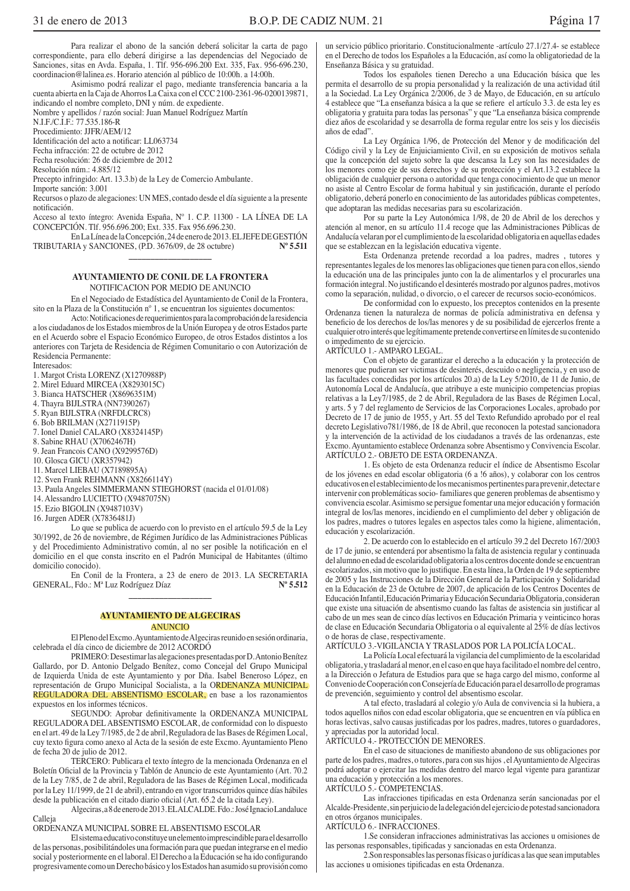Para realizar el abono de la sanción deberá solicitar la carta de pago correspondiente, para ello deberá dirigirse a las dependencias del Negociado de Sanciones, sitas en Avda. España, 1. Tlf. 956-696.200 Ext. 335, Fax. 956-696.230, coordinacion@lalinea.es. Horario atención al público de 10:00h. a 14:00h.

Asimismo podrá realizar el pago, mediante transferencia bancaria a la cuenta abierta en la Caja de Ahorros La Caixa con el CCC 2100-2361-96-0200139871, indicando el nombre completo, DNI y núm. de expediente.

Nombre y apellidos / razón social: Juan Manuel Rodríguez Martín

N.I.F./C.I.F.: 77.535.186-R

Procedimiento: JJFR/AEM/12

Identificación del acto a notificar: LL063734

Fecha infracción: 22 de octubre de 2012 Fecha resolución: 26 de diciembre de 2012

Resolución núm.: 4.885/12

Precepto infringido: Art. 13.3.b) de la Ley de Comercio Ambulante.

Importe sanción: 3.001

Recursos o plazo de alegaciones: UN MES, contado desde el día siguiente a la presente notificación.

Acceso al texto íntegro: Avenida España,  ${\rm N^o}$ 1. C.P. 11300 - LA LÍNEA DE LA CONCEPCIÓN. Tlf. 956.696.200; Ext. 335. Fax 956.696.230.

En La Línea de la Concepción, 24 de enero de 2013. EL JEFE DE GESTIÓN TRIBUTARIA y SANCIONES, (P.D. 3676/09, de 28 octubre)  $N^{\circ}$  5.511

#### AYUNTAMIENTO DE CONIL DE LA FRONTERA NOTIFICACION POR MEDIO DE ANUNCIO

En el Negociado de Estadística del Ayuntamiento de Conil de la Frontera, sito en la Plaza de la Constitución nº 1, se encuentran los siguientes documentos:

Acto: Notificaciones de requerimientos para la comprobación de la residencia a los ciudadanos de los Estados miembros de la Unión Europea y de otros Estados parte en el Acuerdo sobre el Espacio Económico Europeo, de otros Estados distintos a los anteriores con Tarjeta de Residencia de Régimen Comunitario o con Autorización de Residencia Permanente:

Interesados:

1. Margot Crista LORENZ (X1270988P)

2. Mirel Eduard MIRCEA (X8293015C)

3. Bianca HATSCHER (X8696351M)

4. Thayra BIJLSTRA (NN7390267)

5. Ryan BIJLSTRA (NRFDLCRC8)

6. Bob BRILMAN (X2711915P)

7. Ionel Daniel CALARO (X8324145P)

8. Sabine RHAU (X7062467H)

9. Jean Francois CANO (X9299576D)

10. Glosca GICU (XR357942)

11. Marcel LIEBAU (X7189895A)

12. Sven Frank REHMANN (X8266114Y)

13. Paula Angeles SIMMERMANN STIEGHORST (nacida el 01/01/08)

14. Alessandro LUCIETTO (X9487075N)

15. Ezio BIGOLIN (X9487103V)

16. Jurgen ADER (X7836481J)

Lo que se publica de acuerdo con lo previsto en el artículo 59.5 de la Ley 30/1992, de 26 de noviembre, de Régimen Jurídico de las Administraciones Públicas y del Procedimiento Administrativo común, al no ser posible la notificación en el domicilio en el que consta inscrito en el Padrón Municipal de Habitantes (último domicilio conocido).

En Conil de la Frontera, a 23 de enero de 2013. LA SECRETARIA GENERAL, Fdo.: Mª Luz Rodríguez Díaz  $N^{\circ} 5.512$ 

## **AYUNTAMIENTO DE ALGECIRAS ANUNCIO**

El Pleno del Excmo. Ayuntamiento de Algeciras reunido en sesión ordinaria, celebrada el día cinco de diciembre de 2012 ACORDÓ

PRIMERO: Desestimar las alegaciones presentadas por D. Antonio Benítez Gallardo, por D. Antonio Delgado Benítez, como Concejal del Grupo Municipal de Izquierda Unida de este Ayuntamiento y por Dña. Isabel Beneroso López, en representación de Grupo Municipal Socialista, a la ORDENANZA MUNICIPAL REGULADORA DEL ABSENTISMO ESCOLAR, en base a los razonamientos expuestos en los informes técnicos.

SEGUNDO: Aprobar definitivamente la ORDENANZA MUNICIPAL REGULADORA DEL ABSENTISMO ESCOLAR, de conformidad con lo dispuesto en el art. 49 de la Ley 7/1985, de 2 de abril, Reguladora de las Bases de Régimen Local, cuy texto figura como anexo al Acta de la sesión de este Excmo. Ayuntamiento Pleno de fecha 20 de julio de 2012.

TERCERO: Publicara el texto íntegro de la mencionada Ordenanza en el Boletín Oficial de la Provincia y Tablón de Anuncio de este Ayuntamiento (Art. 70.2 de la Ley 7/85, de 2 de abril, Reguladora de las Bases de Régimen Local, modificada por la Ley 11/1999, de 21 de abril), entrando en vigor transcurridos quince días hábiles desde la publicación en el citado diario oficial (Art. 65.2 de la citada Lev).

Algeciras, a 8 de enero de 2013. ELALCALDE. Fdo.: José Ignacio Landaluce Calleja

ORDENANZA MUNICIPAL SOBRE EL ABSENTISMO ESCOLAR

El sistema educativo constituye un elemento imprescindible para el desarrollo de las personas, posibilitándoles una formación para que puedan integrarse en el medio social y posteriormente en el laboral. El Derecho a la Educación se ha ido configurando progresivamente como un Derecho básico y los Estados han asumido su provisión como un servicio público prioritario. Constitucionalmente -artículo 27.1/27.4- se establece en el Derecho de todos los Españoles a la Educación, así como la obligatoriedad de la Enseñanza Básica y su gratuidad.

Todos los españoles tienen Derecho a una Educación básica que les permita el desarrollo de su propia personalidad y la realización de una actividad útil a la Sociedad. La Ley Orgánica 2/2006, de 3 de Mayo, de Educación, en su artículo 4 establece que "La enseñanza básica a la que se refiere el artículo 3.3. de esta ley es obligatoria y gratuita para todas las personas" y que "La enseñanza básica comprende diez años de escolaridad y se desarrolla de forma regular entre los seis y los dieciséis años de edad".

La Ley Orgánica 1/96, de Protección del Menor y de modificación del Código civil y la Ley de Enjuiciamiento Civil, en su exposición de motivos señala que la concepción del sujeto sobre la que descansa la Ley son las necesidades de los menores como eje de sus derechos y de su protección y el Art.13.2 establece la obligación de cualquier persona o autoridad que tenga conocimiento de que un menor no asiste al Centro Escolar de forma habitual y sin justificación, durante el período obligatorio, deberá ponerlo en conocimiento de las autoridades públicas competentes, que adoptaran las medidas necesarias para su escolarización.

Por su parte la Ley Autonómica 1/98, de 20 de Abril de los derechos y atención al menor, en su artículo 11.4 recoge que las Administraciones Públicas de Andalucía velaran por el cumplimiento de la escolaridad obligatoria en aquellas edades que se establezcan en la legislación educativa vigente.

Esta Ordenanza pretende recordad a loa padres, madres, tutores y representantes legales de los menores las obligaciones que tienen para con ellos, siendo la educación una de las principales junto con la de alimentarlos y el procurarles una formación integral. No justificando el desinterés mostrado por algunos padres, motivos como la separación, nulidad, o divorcio, o el carecer de recursos socio-económicos.

De conformidad con lo expuesto, los preceptos contenidos en la presente Ordenanza tienen la naturaleza de normas de policía administrativa en defensa y beneficio de los derechos de los/las menores y de su posibilidad de ejercerlos frente a cualquier otro interés que legítimamente pretende convertirse en límites de su contenido o impedimento de su ejercicio.

# ARTÍCULO 1.- AMPARO LEGAL.

Con el objeto de garantizar el derecho a la educación y la protección de menores que pudieran ser victimas de desinterés, descuido o negligencia, y en uso de las facultades concedidas por los artículos 20.a) de la Ley 5/2010, de 11 de Junio, de Autonomía Local de Andalucía, que atribuye a este municipio competencias propias relativas a la Ley7/1985, de 2 de Abril, Reguladora de las Bases de Régimen Local, y arts. 5 y 7 del reglamento de Servicios de las Corporaciones Locales, aprobado por Decreto de 17 de junio de 1955, y Art. 55 del Texto Refundido aprobado por el real decreto Legislativo 781/1986, de 18 de Abril, que reconocen la potestad sancionadora y la intervención de la actividad de los ciudadanos a través de las ordenanzas, este Excmo. Ayuntamiento establece Ordenanza sobre Absentismo y Convivencia Escolar. ARTÍCULO 2.- OBJETO DE ESTA ORDENANZA.

1. Es objeto de esta Ordenanza reducir el índice de Absentismo Escolar de los jóvenes en edad escolar obligatoria (6 a !6 años), y colaborar con los centros educativos en el establecimiento de los mecanismos pertinentes para prevenir, detectar e intervenir con problemáticas socio-familiares que generen problemas de absentismo y convivencia escolar. Asimismo se persigue fomentar una mejor educación y formación integral de los/las menores, incidiendo en el cumplimiento del deber y obligación de los padres, madres o tutores legales en aspectos tales como la higiene, alimentación, educación y escolarización.

2. De acuerdo con lo establecido en el artículo 39.2 del Decreto 167/2003 de 17 de junio, se entenderá por absentismo la falta de asistencia regular y continuada del alumno en edad de escolaridad obligatoria a los centros docente donde se encuentran escolarizados, sin motivo que lo justifique. En esta línea, la Orden de 19 de septiembre de 2005 y las Instrucciones de la Dirección General de la Participación y Solidaridad en la Educación de 23 de Octubre de 2007, de aplicación de los Centros Docentes de Educación Infantil, Educación Primaria y Educación Secundaria Obligatoria, consideran que existe una situación de absentismo cuando las faltas de asistencia sin justificar al cabo de un mes sean de cinco días lectivos en Educación Primaria y veinticinco horas de clase en Educación Secundaria Obligatoria o al equivalente al 25% de días lectivos o de horas de clase, respectivamente.

ARTÍCULO 3.-VIGILANCIA Y TRASLADOS POR LA POLICÍA LOCAL.

La Policía Local efectuará la vigilancia del cumplimiento de la escolaridad obligatoria, y trasladará al menor, en el caso en que haya facilitado el nombre del centro, a la Dirección o Jefatura de Estudios para que se haga cargo del mismo, conforme al Convenio de Cooperación con Consejería de Educación para el desarrollo de programas de prevención, seguimiento y control del absentismo escolar.

A tal efecto, trasladará al colegio y/o Aula de convivencia si la hubiera, a todos aquellos niños con edad escolar obligatoria, que se encuentren en vía pública en horas lectivas, salvo causas justificadas por los padres, madres, tutores o guardadores, y apreciadas por la autoridad local.

ARTÍCULO 4.- PROTECCIÓN DE MENORES.

En el caso de situaciones de manifiesto abandono de sus obligaciones por parte de los padres, madres, o tutores, para con sus hijos, el Ayuntamiento de Algeciras podrá adoptar o ejercitar las medidas dentro del marco legal vigente para garantizar una educación y protección a los menores.<br>ARTÍCULO 5.- COMPETENCIAS.

Las infracciones tipificadas en esta Ordenanza serán sancionadas por el Alcalde-Presidente, sin perjuicio de la delegación del ejercicio de potestad sancionadora en otros órganos municipales.

ARTÍCULO 6.- INFRACCIONES.

1.Se consideran infracciones administrativas las acciones u omisiones de las personas responsables, tipificadas y sancionadas en esta Ordenanza.

2. Son responsables las personas físicas o jurídicas a las que sean imputables las acciones u omisiones tipificadas en esta Ordenanza.